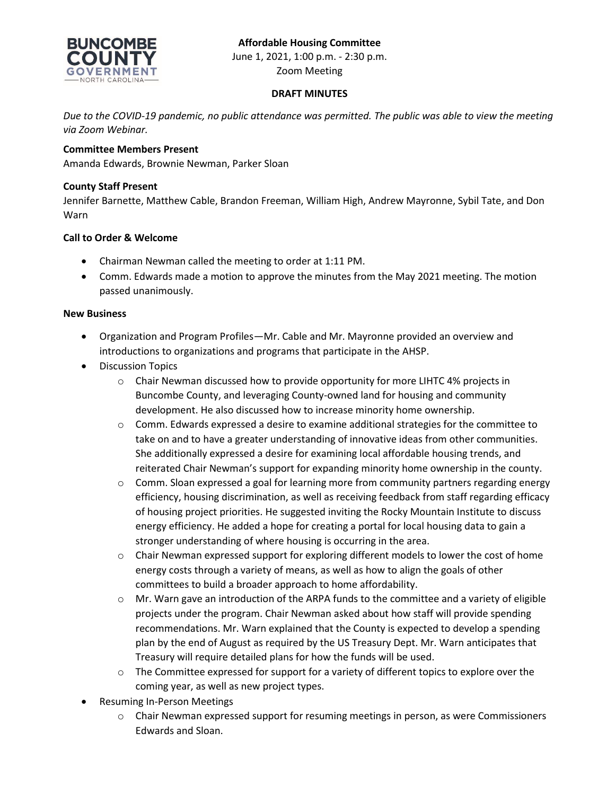# **Affordable Housing Committee**



June 1, 2021, 1:00 p.m. - 2:30 p.m. Zoom Meeting

# **DRAFT MINUTES**

*Due to the COVID-19 pandemic, no public attendance was permitted. The public was able to view the meeting via Zoom Webinar.*

# **Committee Members Present**

Amanda Edwards, Brownie Newman, Parker Sloan

# **County Staff Present**

Jennifer Barnette, Matthew Cable, Brandon Freeman, William High, Andrew Mayronne, Sybil Tate, and Don Warn

# **Call to Order & Welcome**

- Chairman Newman called the meeting to order at 1:11 PM.
- Comm. Edwards made a motion to approve the minutes from the May 2021 meeting. The motion passed unanimously.

### **New Business**

- Organization and Program Profiles—Mr. Cable and Mr. Mayronne provided an overview and introductions to organizations and programs that participate in the AHSP.
- Discussion Topics
	- o Chair Newman discussed how to provide opportunity for more LIHTC 4% projects in Buncombe County, and leveraging County-owned land for housing and community development. He also discussed how to increase minority home ownership.
	- o Comm. Edwards expressed a desire to examine additional strategies for the committee to take on and to have a greater understanding of innovative ideas from other communities. She additionally expressed a desire for examining local affordable housing trends, and reiterated Chair Newman's support for expanding minority home ownership in the county.
	- o Comm. Sloan expressed a goal for learning more from community partners regarding energy efficiency, housing discrimination, as well as receiving feedback from staff regarding efficacy of housing project priorities. He suggested inviting the Rocky Mountain Institute to discuss energy efficiency. He added a hope for creating a portal for local housing data to gain a stronger understanding of where housing is occurring in the area.
	- $\circ$  Chair Newman expressed support for exploring different models to lower the cost of home energy costs through a variety of means, as well as how to align the goals of other committees to build a broader approach to home affordability.
	- $\circ$  Mr. Warn gave an introduction of the ARPA funds to the committee and a variety of eligible projects under the program. Chair Newman asked about how staff will provide spending recommendations. Mr. Warn explained that the County is expected to develop a spending plan by the end of August as required by the US Treasury Dept. Mr. Warn anticipates that Treasury will require detailed plans for how the funds will be used.
	- $\circ$  The Committee expressed for support for a variety of different topics to explore over the coming year, as well as new project types.
- Resuming In-Person Meetings
	- o Chair Newman expressed support for resuming meetings in person, as were Commissioners Edwards and Sloan.